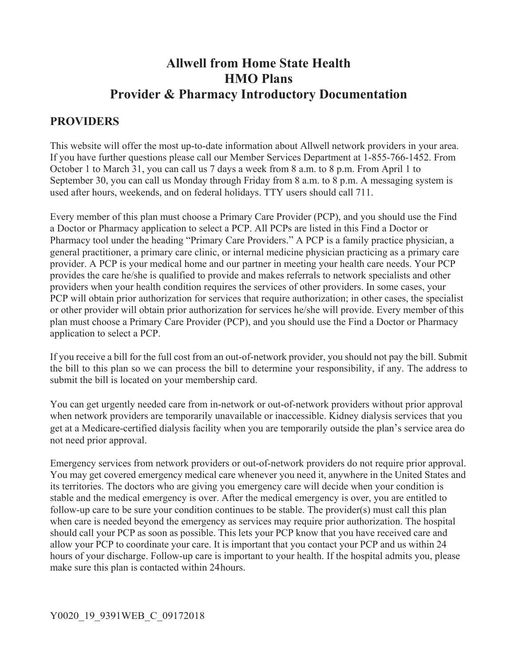# **Allwell from Home State Health HMO Plans Provider & Pharmacy Introductory Documentation**

## **PROVIDERS**

This website will offer the most up-to-date information about Allwell network providers in your area. If you have further questions please call our Member Services Department at 1-855-766-1452. From October 1 to March 31, you can call us 7 days a week from 8 a.m. to 8 p.m. From April 1 to September 30, you can call us Monday through Friday from 8 a.m. to 8 p.m. A messaging system is used after hours, weekends, and on federal holidays. TTY users should call 711.

Every member of this plan must choose a Primary Care Provider (PCP), and you should use the Find a Doctor or Pharmacy application to select a PCP. All PCPs are listed in this Find a Doctor or Pharmacy tool under the heading "Primary Care Providers." A PCP is a family practice physician, a general practitioner, a primary care clinic, or internal medicine physician practicing as a primary care provider. A PCP is your medical home and our partner in meeting your health care needs. Your PCP provides the care he/she is qualified to provide and makes referrals to network specialists and other providers when your health condition requires the services of other providers. In some cases, your PCP will obtain prior authorization for services that require authorization; in other cases, the specialist or other provider will obtain prior authorization for services he/she will provide. Every member of this plan must choose a Primary Care Provider (PCP), and you should use the Find a Doctor or Pharmacy application to select a PCP.

If you receive a bill for the full cost from an out-of-network provider, you should not pay the bill. Submit the bill to this plan so we can process the bill to determine your responsibility, if any. The address to submit the bill is located on your membership card.

You can get urgently needed care from in-network or out-of-network providers without prior approval when network providers are temporarily unavailable or inaccessible. Kidney dialysis services that you get at a Medicare-certified dialysis facility when you are temporarily outside the plan's service area do not need prior approval.

Emergency services from network providers or out-of-network providers do not require prior approval. You may get covered emergency medical care whenever you need it, anywhere in the United States and its territories. The doctors who are giving you emergency care will decide when your condition is stable and the medical emergency is over. After the medical emergency is over, you are entitled to follow-up care to be sure your condition continues to be stable. The provider(s) must call this plan when care is needed beyond the emergency as services may require prior authorization. The hospital should call your PCP as soon as possible. This lets your PCP know that you have received care and allow your PCP to coordinate your care. It is important that you contact your PCP and us within 24 hours of your discharge. Follow-up care is important to your health. If the hospital admits you, please make sure this plan is contacted within 24 hours.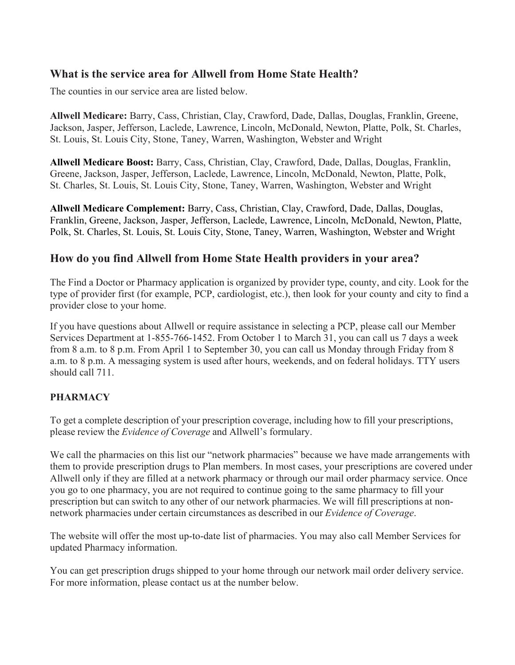### **What is the service area for Allwell from Home State Health?**

The counties in our service area are listed below.

**Allwell Medicare:** Barry, Cass, Christian, Clay, Crawford, Dade, Dallas, Douglas, Franklin, Greene, Jackson, Jasper, Jefferson, Laclede, Lawrence, Lincoln, McDonald, Newton, Platte, Polk, St. Charles, St. Louis, St. Louis City, Stone, Taney, Warren, Washington, Webster and Wright

**Allwell Medicare Boost:** Barry, Cass, Christian, Clay, Crawford, Dade, Dallas, Douglas, Franklin, Greene, Jackson, Jasper, Jefferson, Laclede, Lawrence, Lincoln, McDonald, Newton, Platte, Polk, St. Charles, St. Louis, St. Louis City, Stone, Taney, Warren, Washington, Webster and Wright

**Allwell Medicare Complement:** Barry, Cass, Christian, Clay, Crawford, Dade, Dallas, Douglas, Franklin, Greene, Jackson, Jasper, Jefferson, Laclede, Lawrence, Lincoln, McDonald, Newton, Platte, Polk, St. Charles, St. Louis, St. Louis City, Stone, Taney, Warren, Washington, Webster and Wright

### **How do you find Allwell from Home State Health providers in your area?**

The Find a Doctor or Pharmacy application is organized by provider type, county, and city. Look for the type of provider first (for example, PCP, cardiologist, etc.), then look for your county and city to find a provider close to your home.

If you have questions about Allwell or require assistance in selecting a PCP, please call our Member Services Department at 1-855-766-1452. From October 1 to March 31, you can call us 7 days a week from 8 a.m. to 8 p.m. From April 1 to September 30, you can call us Monday through Friday from 8 a.m. to 8 p.m. A messaging system is used after hours, weekends, and on federal holidays. TTY users should call 711.

#### **PHARMACY**

To get a complete description of your prescription coverage, including how to fill your prescriptions, please review the *Evidence of Coverage* and Allwell's formulary.

We call the pharmacies on this list our "network pharmacies" because we have made arrangements with them to provide prescription drugs to Plan members. In most cases, your prescriptions are covered under Allwell only if they are filled at a network pharmacy or through our mail order pharmacy service. Once you go to one pharmacy, you are not required to continue going to the same pharmacy to fill your prescription but can switch to any other of our network pharmacies. We will fill prescriptions at nonnetwork pharmacies under certain circumstances as described in our *Evidence of Coverage*.

The website will offer the most up-to-date list of pharmacies. You may also call Member Services for updated Pharmacy information.

You can get prescription drugs shipped to your home through our network mail order delivery service. For more information, please contact us at the number below.